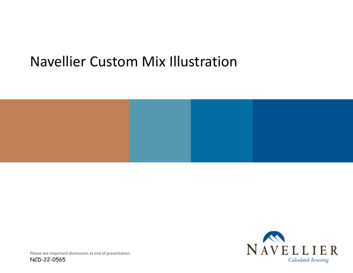# Navellier Custom Mix Illustration





Please see important disclosures at end of presentation.

NCD-22-0565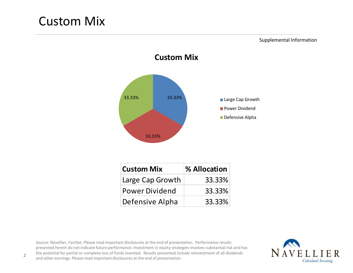## Custom Mix

Supplemental Information



**Custom Mix**

| <b>Custom Mix</b>     | % Allocation |
|-----------------------|--------------|
| Large Cap Growth      | 33.33%       |
| <b>Power Dividend</b> | 33.33%       |
| Defensive Alpha       | 33.33%       |

Source: Navellier, FactSet. Please read important disclosures at the end of presentation. Performance results presented herein do not indicate future performance. Investment in equity strategies involves substantial risk and has the potential for partial or complete loss of funds invested. Results presented include reinvestment of all dividends and other earnings. Please read important disclosures at the end of presentation.

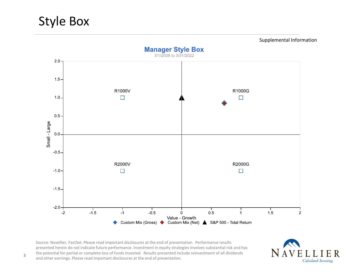## Style Box



Source: Navellier, FactSet. Please read important disclosures at the end of presentation. Performance results presented herein do not indicate future performance. Investment in equity strategies involves substantial risk and has the potential for partial or complete loss of funds invested. Results presented include reinvestment of all dividends and other earnings. Please read important disclosures at the end of presentation.

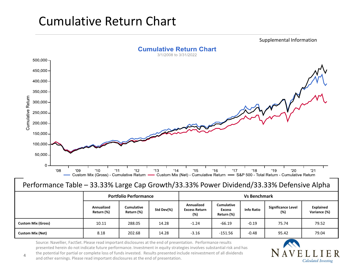# Cumulative Return Chart

Supplemental Information**Cumulative Return Chart** 3/1/2008 to 3/31/2022  $500,000 -$ 450,000-400,000 350,000-Cumulative Return 300,000 250,000 200,000 150,000 100,000  $50,000$  $\Omega$ '08  $'09$  $'10$  $'11$  $'12$  $'13$  $'14$  $'15$  $'16$  $'17$  $'18$  $'19$  $'20$  $'21$ Custom Mix (Gross) - Cumulative Return — Custom Mix (Net) - Cumulative Return — S&P 500 - Total Return - Cumulative Return

### Performance Table – 33.33% Large Cap Growth/33.33% Power Dividend/33.33% Defensive Alpha

|                           |                          | <b>Portfolio Performance</b>    | <b>Vs Benchmark</b> |                                           |                                                  |                   |                                  |                           |
|---------------------------|--------------------------|---------------------------------|---------------------|-------------------------------------------|--------------------------------------------------|-------------------|----------------------------------|---------------------------|
|                           | Annualized<br>Return (%) | <b>Cumulative</b><br>Return (%) | Std Dev(%)          | Annualized<br><b>Excess Return</b><br>(%) | <b>Cumulative</b><br><b>Excess</b><br>Return (%) | <b>Info Ratio</b> | <b>Significance Level</b><br>(%) | Explained<br>Variance (%) |
| <b>Custom Mix (Gross)</b> | 10.11                    | 288.05                          | 14.28               | $-1.24$                                   | $-66.19$                                         | $-0.19$           | 75.74                            | 79.52                     |
| <b>Custom Mix (Net)</b>   | 8.18                     | 202.68                          | 14.28               | $-3.16$                                   | $-151.56$                                        | $-0.48$           | 95.42                            | 79.04                     |

Source: Navellier, FactSet. Please read important disclosures at the end of presentation. Performance results presented herein do not indicate future performance. Investment in equity strategies involves substantial risk and has the potential for partial or complete loss of funds invested. Results presented include reinvestment of all dividends and other earnings. Please read important disclosures at the end of presentation.



4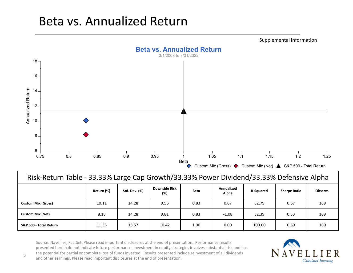## Beta vs. Annualized Return



| Risk-Return Table - 33.33% Large Cap Growth/33.33% Power Dividend/33.33% Defensive Alpha |            |                      |                             |             |                     |                  |                     |          |  |  |  |  |
|------------------------------------------------------------------------------------------|------------|----------------------|-----------------------------|-------------|---------------------|------------------|---------------------|----------|--|--|--|--|
|                                                                                          | Return (%) | <b>Std. Dev. (%)</b> | <b>Downside Risk</b><br>(%) | <b>Beta</b> | Annualized<br>Alpha | <b>R-Squared</b> | <b>Sharpe Ratio</b> | Observs. |  |  |  |  |
| <b>Custom Mix (Gross)</b>                                                                | 10.11      | 14.28                | 9.56                        | 0.83        | 0.67                | 82.79            | 0.67                | 169      |  |  |  |  |
| <b>Custom Mix (Net)</b>                                                                  | 8.18       | 14.28                | 9.81                        | 0.83        | $-1.08$             | 82.39            | 0.53                | 169      |  |  |  |  |
| S&P 500 - Total Return                                                                   | 11.35      | 15.57                | 10.42                       | 1.00        | 0.00                | 100.00           | 0.69                | 169      |  |  |  |  |

Source: Navellier, FactSet. Please read important disclosures at the end of presentation. Performance results presented herein do not indicate future performance. Investment in equity strategies involves substantial risk and has the potential for partial or complete loss of funds invested. Results presented include reinvestment of all dividends and other earnings. Please read important disclosures at the end of presentation.

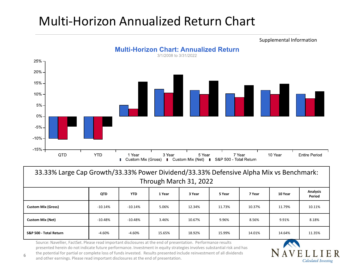# Multi-Horizon Annualized Return Chart



| 33.33% Large Cap Growth/33.33% Power Dividend/33.33% Defensive Alpha Mix vs Benchmark:<br>Through March 31, 2022 |          |           |        |        |        |        |        |        |  |  |  |  |
|------------------------------------------------------------------------------------------------------------------|----------|-----------|--------|--------|--------|--------|--------|--------|--|--|--|--|
| <b>Analysis</b><br><b>YTD</b><br>5 Year<br><b>QTD</b><br>1 Year<br>3 Year<br>7 Year<br>10 Year                   |          |           |        |        |        |        |        |        |  |  |  |  |
|                                                                                                                  |          |           |        |        |        |        |        | Period |  |  |  |  |
| <b>Custom Mix (Gross)</b>                                                                                        | -10.14%  | $-10.14%$ | 5.06%  | 12.34% | 11.73% | 10.37% | 11.79% | 10.11% |  |  |  |  |
| <b>Custom Mix (Net)</b>                                                                                          | -10.48%  | $-10.48%$ | 3.46%  | 10.67% | 9.96%  | 8.56%  | 9.91%  | 8.18%  |  |  |  |  |
| S&P 500 - Total Return                                                                                           | $-4.60%$ | $-4.60%$  | 15.65% | 18.92% | 15.99% | 14.01% | 14.64% | 11.35% |  |  |  |  |

Source: Navellier, FactSet. Please read important disclosures at the end of presentation. Performance results presented herein do not indicate future performance. Investment in equity strategies involves substantial risk and has the potential for partial or complete loss of funds invested. Results presented include reinvestment of all dividends and other earnings. Please read important disclosures at the end of presentation.

6

### Supplemental Information

Calculated Investing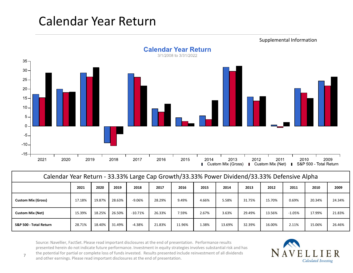# Calendar Year Return



| Calendar Year Return - 33.33% Large Cap Growth/33.33% Power Dividend/33.33% Defensive Alpha |        |        |        |            |        |        |       |        |        |        |          |        |        |  |
|---------------------------------------------------------------------------------------------|--------|--------|--------|------------|--------|--------|-------|--------|--------|--------|----------|--------|--------|--|
|                                                                                             | 2021   | 2020   | 2019   | 2018       | 2017   | 2016   | 2015  | 2014   | 2013   | 2012   | 2011     | 2010   | 2009   |  |
| <b>Custom Mix (Gross)</b>                                                                   | 17.18% | 19.87% | 28.63% | -9.06%     | 28.29% | 9.49%  | 4.66% | 5.58%  | 31.75% | 15.70% | 0.69%    | 20.34% | 24.34% |  |
| <b>Custom Mix (Net)</b>                                                                     | 15.39% | 18.25% | 26.50% | $-10.71\%$ | 26.33% | 7.59%  | 2.67% | 3.63%  | 29.49% | 13.56% | $-1.05%$ | 17.99% | 21.83% |  |
| S&P 500 - Total Return                                                                      | 28.71% | 18.40% | 31.49% | $-4.38%$   | 21.83% | 11.96% | 1.38% | 13.69% | 32.39% | 16.00% | 2.11%    | 15.06% | 26.46% |  |

Source: Navellier, FactSet. Please read important disclosures at the end of presentation. Performance results presented herein do not indicate future performance. Investment in equity strategies involves substantial risk and has the potential for partial or complete loss of funds invested. Results presented include reinvestment of all dividends and other earnings. Please read important disclosures at the end of presentation.

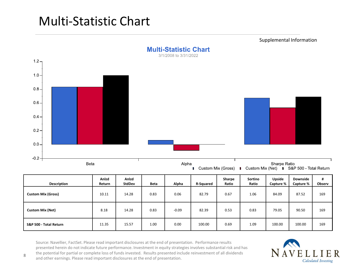# Multi-Statistic Chart



| <b>Description</b>        | Anlzd<br>Return | Anlzd<br><b>StdDev</b> | <b>Beta</b> | Alpha   | <b>R-Squared</b> | Sharpe<br>Ratio | Sortino<br>Ratio | Upside<br>Capture % | <b>Downside</b><br>Capture % | #<br>Observ |
|---------------------------|-----------------|------------------------|-------------|---------|------------------|-----------------|------------------|---------------------|------------------------------|-------------|
| <b>Custom Mix (Gross)</b> | 10.11           | 14.28                  | 0.83        | 0.06    | 82.79            | 0.67            | 1.06             | 84.09               | 87.52                        | 169         |
| <b>Custom Mix (Net)</b>   | 8.18            | 14.28                  | 0.83        | $-0.09$ | 82.39            | 0.53            | 0.83             | 79.05               | 90.50                        | 169         |
| S&P 500 - Total Return    | 11.35           | 15.57                  | 1.00        | 0.00    | 100.00           | 0.69            | 1.09             | 100.00              | 100.00                       | 169         |

Source: Navellier, FactSet. Please read important disclosures at the end of presentation. Performance results presented herein do not indicate future performance. Investment in equity strategies involves substantial risk and has the potential for partial or complete loss of funds invested. Results presented include reinvestment of all dividends and other earnings. Please read important disclosures at the end of presentation.

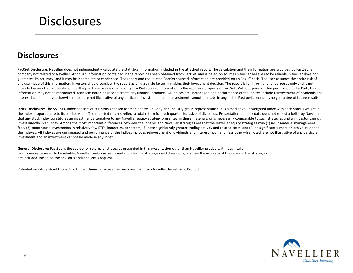## **Disclosures**

### **Disclosures**

FactSet Disclosure: Navellier does not independently calculate the statistical information included in the attached report. The calculation and the information are provided by FactSet, a company not related to Navellier. Although information contained in the report has been obtained from FactSet and is based on sources Navellier believes to be reliable, Navellier does not guarantee its accuracy, and it may be incomplete or condensed. The report and the related FactSet sourced information are provided on an "as is" basis. The user assumes the entire risk of any use made of this information. Investors should consider the report as only a single factor in making their investment decision. The report is for informational purposes only and is not intended as an offer or solicitation for the purchase or sale of a security. FactSet sourced information is the exclusive property of FactSet. Without prior written permission of FactSet, this information may not be reproduced, redisseminated or used to create any financial products. All indices are unmanaged and performance of the indices include reinvestment of dividends and interest income, unless otherwise noted, are not illustrative of any particular investment and an investment cannot be made in any index. Past performance is no guarantee of future results.

**Index Disclosure**: The S&P 500 Index consists of 500 stocks chosen for market size, liquidity and industry group representation. It is a market value weighted index with each stock's weight in the index proportionate to its market value. The reported returns reflect a total return for each quarter inclusive of dividends. Presentation of index data does not reflect a belief by Navellier that any stock index constitutes an investment alternative to any Navellier equity strategy presented in these materials, or is necessarily comparable to such strategies and an investor cannot invest directly in an index. Among the most important differences between the indexes and Navellier strategies are that the Navellier equity strategies may (1) incur material management fees, (2) concentrate investments in relatively few ETFs, industries, or sectors, (3) have significantly greater trading activity and related costs, and (4) be significantly more or less volatile than the indexes. All indexes are unmanaged and performance of the indices includes reinvestment of dividends and interest income, unless otherwise noted, are not illustrative of any particular investment and an investment cannot be made in any index.

General Disclosure: FactSet is the source for returns of strategies presented in this presentation other than Navellier products. Although taken from sources believed to be reliable, Navellier makes no representation for the strategies and does not guarantee the accuracy of the returns. The strategies are included based on the advisor's and/or client's request.

Potential investors should consult with their financial adviser before investing in any Navellier Investment Product.

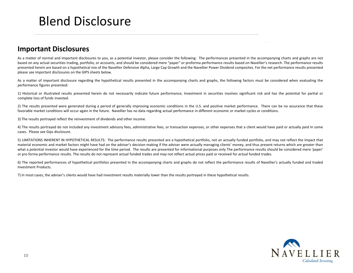## Blend Disclosure

### **Important Disclosures**

As a matter of normal and important disclosures to you, as a potential investor, please consider the following: The performances presented in the accompanying charts and graphs are not based on any actual securities trading, portfolio, or accounts, and should be considered mere "paper" or proforma performance results based on Navellier's research. The performance results presented herein are based on <sup>a</sup> hypothetical mix of the Navellier Defensive Alpha, Large Cap Growth and the Navellier Power Dividend composites. For the net performance results presentedplease see important disclosures on the GIPS sheets below.

As a matter of important disclosure regarding the hypothetical results presented in the accompanying charts and graphs, the following factors must be considered when evaluating the performance figures presented:

1) Historical or illustrated results presented herein do not necessarily indicate future performance; Investment in securities involves significant risk and has the potential for partial or complete loss of funds invested.

2) The results presented were generated during <sup>a</sup> period of generally improving economic conditions in the U.S. and positive market performance. There can be no assurance that these favorable market conditions will occur again in the future. Navellier has no data regarding actual performance in different economic or market cycles or conditions.

3) The results portrayed reflect the reinvestment of dividends and other income.

4) The results portrayed do not included any investment advisory fees, administrative fees, or transaction expenses, or other expenses that <sup>a</sup> client would have paid or actually paid In some cases. Please see Gips disclosure.

5) LIMITATIONS INHERENT IN HYPOTHETICAL RESULTS: The performance results presented are <sup>a</sup> hypothetical portfolio, not an actually funded portfolio, and may not reflect the impact that material economic and market factors might have had on the adviser's decision making if the adviser were actually managing clients' money, and thus present returns which are greater than what <sup>a</sup> potential investor would have experienced for the time period. The results are presented for informational purposes only The performance results should be considered mere 'paper' or pro forma performance results. The results do not represent actual funded trades and may not reflect actual prices paid or received for actual funded trades.

6) The reported performances of hypothetical portfolios presented in the accompanying charts and graphs do not reflect the performance results of Navellier's actually funded and tradedInvestment Products.

7) In most cases, the adviser's clients would have had investment results materially lower than the results portrayed in these hypothetical results.



Supplemental Information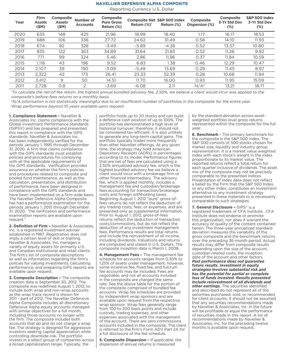#### **Navellier Defensive Alpha Composite**

Reporting Currency U.S. Dollar

| Firm<br><b>Assets</b><br>(SM) | Composite<br><b>Assets</b><br>(SM) | Number of<br><b>Accounts</b> | Composite<br><b>Pure Gross</b><br>Return (%) | Return $(\%)^1$ | Return (%) | <b>Composite</b><br>Dispersion (%)     | Composite<br>3-Yr Std Dev<br>$(\%)$ | S&P 500 index<br>3-Yr Std Dev<br>$(\%)$ |
|-------------------------------|------------------------------------|------------------------------|----------------------------------------------|-----------------|------------|----------------------------------------|-------------------------------------|-----------------------------------------|
| 635                           | 148                                | 425                          | 21.96                                        | 18.99           | 18.40      | 1.17                                   | 16.17                               | 18.53                                   |
| 688                           | 106                                | 336                          | 27.72                                        | 24.62           | 31.49      | 0.58                                   | 14.10                               | 11.93                                   |
| 674                           | 82                                 | 328                          | $-3.49$                                      | $-5.89$         | $-4.38$    | 0.52                                   | 13.37                               | 10.80                                   |
| 835                           | 122                                | 363                          | 34.89                                        | 31.64           | 21.83      | 0.52                                   | 11.26                               | 9.92                                    |
| 771                           | 99                                 | 324                          | 5.46                                         | 2.86            | 11.96      | 0.37                                   | 11.84                               | 10.59                                   |
| 1.118                         | 43                                 | 196                          | 9.52                                         | 6.83            | 1.38       | 0.46                                   | 12.29                               | 10.47                                   |
| 2.107                         | 39                                 | 190                          | $-3.09$                                      | $-5.49$         | 13.69      | 0.29                                   | 11.45                               | 8.97                                    |
| 2.322                         | 42                                 | 173                          | 26.41                                        | 23.33           | 32.39      | 0.28                                   | 10.66                               | 11.94                                   |
| 3.412                         | 9                                  | 50                           | 14.51                                        | 11.70           | 16.00      | 0.93                                   | 11.95                               | 15.09                                   |
| 2.728                         | 0.8                                | $\overline{2}$               | $-3.69$                                      | $-6.08$         | 2.11       | N/A <sup>2</sup>                       | 13.21                               | 18.71                                   |
|                               |                                    |                              |                                              |                 |            | <b>Composite Net S&amp;P 500 Index</b> |                                     |                                         |

*1 To calculate the net-of-fee return, the highest annual bundled advisory fee, 2.50%, we believe a client would incur was applied to the composite's before-fees returns on a monthly basis.*

*<sup>2</sup>N/A information is not statistically meaningful due to an insufficient number of portfolios in the composite for the entire year. Wrap performance beyond 10 years available upon request.*

**1. Compliance Statement –** Navellier & Associates Inc. claims compliance with the Global investment Performance Standards (GIPS®) and has prepared and presented this report in compliance with the GIPS standards. Navellier & Associates Inc. has been independently verified for the periods January 1, 1995 through December 31, 2020. A firm that claims compliance with the GIPS standards must establish policies and procedures for complying with all the applicable requirements of the GIPS standards. Verification provides assurance on whether the firm's policies and procedures related to composite and pooled fund maintenance, as well as the calculation, presentation, and distribution of performance, have been designed in compliance with the GIPS standards and have been implemented on a firm-wide basis. The Navellier Defensive Alpha Composite has had a performance examination for the periods January 1, 2015 through December 31, 2020. The verification and performance examination reports are available upon request."

**2. Definition of Firm –** Navellier & Associates, Inc. is a registered investment adviser established in 1987. Registration does not imply a certain level of skill or training. Navellier & Associates, Inc. manages a variety of equity assets for primarily U.S. and Canadian institutional and retail clients. The firm's list of composite descriptions as well as information regarding the firm's policies for valuing investments, calculating performance, and preparing GIPS reports are available upon request.

**3. Composite Description –** The composite creation date is September 30, 2012. The composite was redefined August 1, 2012, to include both wrap and non-wrap accounts as the wrap track record is shown for 2011 - part of 2012. The Navellier Defensive Alpha Composite includes all discretionary Defensive Alpha equity accounts managed with similar objectives for a full month, including those accounts no longer with the firm. The composite includes both accounts that do and do not charge a wrap fee. The strategy is designed for aggressive investors seeking capital appreciation while controlling downside risk. The portfolio invests in a select group of companies across a broad capitalization range. Typically, the

portfolio holds up to 20 stocks and can build a defensive cash position of up to 100%. The portfolio has demonstrated a high level of historical turnover; therefore, it should not be considered tax-efficient. It is also unlikely to generate any long-term capital gains. The portfolio typically trades more frequently than other Navellier offerings. At any given time, the strategy may hold American Depositary Receipts (ADRs) in percentages according to its model. Performance figures that are net of fees are calculated using a 2.50% annualized advisory fee, which is the highest bundled advisory fee we believe a client would incur with a brokerage firm or other financial intermediary. The advisory fee, which is applied monthly, includes a management fee and custodian/brokerage fees accounting for transaction/brokerage costs and foreign withholding taxes. Beginning August 1, 2012 "pure" gross-offees returns do not reflect the deduction of any trading costs, fees, or expenses, and are presented only as supplemental information. Prior to August 1, 2012, gross-of-fees returns reflect the deduction of transaction costs/commissions, but do not reflect the deduction of any investment management fees. Performance results are total returns and include the reinvestment of all income, including dividends. Valuations and returns are computed and stated in U.S. Dollars. The composite inception date is March 1, 2008.

**4. Management Fees –** The management fee schedule for accounts ranges from 0.30% to 1.25% of assets under management; however, some incentive fee, fixed fee, and fulcrum fee accounts may be included. Fees are negotiable, and not all accounts included in the composite are charged the same rate. See the above table for the portion of the composite comprised of bundled fee accounts. Wrap fee schedules are provided by independent wrap sponsors and are available upon request from the respective wrap sponsor. Wrap fees generally range from 100 to 200 basis points and include custody, trading expenses, and other expenses associated with the management of the account. There are zero commissions accounts included in the composite. The client is referred to the firm's Form ADV Part 2A for a full disclosure of the fee schedule.

**5. Composite Dispersion –** If applicable, the dispersion of annual returns is measured

by the standard deviation across assetweighted portfolio level gross returns represented within the composite for the full year.

**6. Benchmark -** The primary benchmark for the composite is the S&P 500 Index. The S&P 500 consists of 500 stocks chosen for market size, liquidity and industry group representation. It is a market value weighted index with each stock's weight in the index proportionate to its market value. The reported returns reflect a total return for each quarter inclusive of dividends. The asset mix of the composite may not be precisely comparable to the presented indices. Presentation of index data does not reflect a belief by the Firm that the S&P 500 Index, or any other index, constitutes an investment alternative to any investment strategy presented in these materials or is necessarily comparable to such strategies.

**7. General Disclosure –** GIPS® is a registered trademark of CFA Institute. CFA Institute does not endorse or promote this organization, nor does it warrant the accuracy or quality of the content contained herein. The three-year annualized standard deviation measures the variability of the gross composite and the benchmark returns over the preceding 36-month period. Actual results may differ from composite results depending upon the size of the account, custodian related costs, the inception date of the account and other factors. *Past performance does not guarantee future results. Investment in equity strategies involves substantial risk and has the potential for partial or complete loss of funds invested. Results presented include reinvestment of all dividends and other earnings.* The securities identified and described do not represent all of the securities purchased, sold, or recommended for client accounts. It should not be assumed that any securities recommendations made by Navellier & Associates, Inc. in the future will be profitable or equal the performance of securities made in this report. A list of recommendations made by Navellier & Associates, Inc. for the preceding twelve months is available upon request.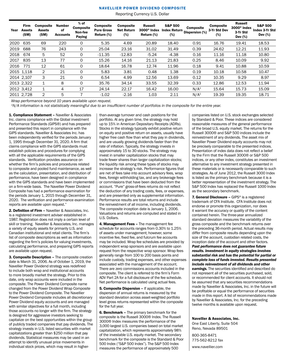#### Navellier Power Dividend Composite

Reporting Currency U.S. Dollar

| Year | <b>Firm</b><br><b>Assets</b><br>(SM) | <b>Composite</b><br>Assets<br>(SM) | Number<br>0f<br><b>Accounts</b> | $%$ of<br><b>Composite</b><br>Non-fee<br>Paying | <b>Composite</b><br><b>Pure Gross</b><br>Return (%) | <b>Composite</b><br><b>Net Return</b><br>(%) | <b>Russell</b><br>$3000^{\circ}$ Index<br>Return (%) | <b>S&amp;P 500</b><br><b>Index Return</b><br>(%) | <b>Composite</b><br>Dispersion (%) | <b>Composite</b><br>3-Yr Std Dev<br>(%) | Russell<br>$3000$ <sup>®</sup> Index<br>3-Yr Std<br>Dev $(\%)$ | <b>S&amp;P 500</b><br>Index 3-Yr Std<br>Dev $(%)$ |
|------|--------------------------------------|------------------------------------|---------------------------------|-------------------------------------------------|-----------------------------------------------------|----------------------------------------------|------------------------------------------------------|--------------------------------------------------|------------------------------------|-----------------------------------------|----------------------------------------------------------------|---------------------------------------------------|
| 2020 | 635                                  | 69                                 | 220                             | 0                                               | 5.35                                                | 4.69                                         | 20.89                                                | 18.40                                            | 0.91                               | 16.76                                   | 19.41                                                          | 18.53                                             |
| 2019 | 688                                  | 76                                 | 243                             | 0                                               | 25.04                                               | 23.16                                        | 31.02                                                | 31.49                                            | 0.39                               | 24.62                                   | 12.21                                                          | 11.93                                             |
| 2018 | 674                                  | 5                                  | 52                              | 0                                               | $-11.35$                                            | $-12.83$                                     | $-5.24$                                              | $-4.38$                                          | 0.16                               | 11.16                                   | 11.18                                                          | 10.80                                             |
| 2017 | 835                                  | 13                                 | 77                              | 0                                               | 15.26                                               | 14.16                                        | 21.13                                                | 21.83                                            | 0.25                               | 8.46                                    | 10.09                                                          | 9.92                                              |
| 2016 | 771                                  | 12                                 | 61                              | 0                                               | 18.64                                               | 16.78                                        | 12.74                                                | 11.96                                            | 0.18                               | 9.41                                    | 10.88                                                          | 10.59                                             |
|      | 2015 1.118                           | 2                                  | 21                              | 0                                               | 5.83                                                | 3.81                                         | 0.48                                                 | 1.38                                             | 0.19                               | 10.18                                   | 10.58                                                          | 10.47                                             |
|      | 2014 2.107                           | 3                                  | 21                              | 0                                               | 6.54                                                | 4.99                                         | 12.56                                                | 13.69                                            | 0.12                               | 10.35                                   | 9.29                                                           | 8.97                                              |
|      | 2013 2.322                           | 1                                  | 8                               | 0                                               | 35.76                                               | 34.14                                        | 33.55                                                | 32.39                                            | 0.33                               | 12.86                                   | 12.53                                                          | 11.94                                             |
|      | 2012 3.412                           | 1                                  | 4                               | 17                                              | 24.14                                               | 22.17                                        | 16.42                                                | 16.00                                            | N/A <sup>1</sup>                   | 15.64                                   | 15.73                                                          | 15.09                                             |
|      | 2011 2.728                           | $\mathcal{P}$                      | 5                               |                                                 | $-1.02$                                             | $-2.16$                                      | 1.03                                                 | 2.11                                             | N/A <sup>1</sup>                   | 19.39                                   | 19.35                                                          | 18.71                                             |

*Wrap performance beyond 10 years available upon request.*

*<sup>1</sup>N/A information is not statistically meaningful due to an insufficient number of portfolios in the composite for the entire year.*

1. Compliance Statement – Navellier & Associates Inc. claims compliance with the Global investment Performance Standards (GIPS®) and has prepared and presented this report in compliance with the GIPS standards. Navellier & Associates Inc. has been independently verified for the periods January 1, 1995 through December 31, 2020. A firm that claims compliance with the GIPS standards must establish policies and procedures for complying with all the applicable requirements of the GIPS standards. Verification provides assurance on whether the firm's policies and procedures related to composite and pooled fund maintenance, as well as the calculation, presentation, and distribution of performance, have been designed in compliance with the GIPS standards and have been implemented on a firm-wide basis. The Navellier Power Dividend Composite has had a performance examination for the periods January 1, 2015 through December 31, 2020. The verification and performance examination reports are available upon request."

2. Definition of Firm – Navellier & Associates, Inc. is a registered investment adviser established in 1987. Registration does not imply a certain level of skill or training. Navellier & Associates, Inc. manages a variety of equity assets for primarily U.S. and Canadian institutional and retail clients. The firm's list of composite descriptions as well as information regarding the firm's policies for valuing investments, calculating performance, and preparing GIPS reports are available upon request.

3. Composite Description – The composite creation date is March 31, 2006. As of October 1, 2019, the Navellier Power Dividend strategy was redefined to include both wrap and institutional accounts to more broadly market the strategy. Prior to this date, only wrap accounts were included in the composite. The Power Dividend Composite name changed from the Power Dividend Wrap Composite to the Power Dividend Composite. The Navellier Power Dividend Composite includes all discretionary Power Dividend equity accounts and are managed with similar objectives for a full month, including those accounts no longer with the firm. The strategy is designed for aggressive investors seeking to capitalize on the best opportunities within the group of publicly traded companies that pay dividends. The strategy invests in U.S. listed securities with market capitalizations greater than \$250 million that pay dividends. Statistical measures may be used in an attempt to identify unusual price movements in individual stock prices, which may result in higherthan-average turnover and cash positions for the portfolio. At any given time, the strategy may hold up to 15% in American Depositary Receipts (ADRs). Stocks in the strategy typically exhibit positive return on equity and positive return on assets, usually have higher free cash flow than what they pay in dividends, and are usually growing dividends faster than the rate of inflation. Typically, the strategy invests in approximately 15 to 30 stocks. The strategy may invest in smaller capitalization stocks that may trade fewer shares than larger capitalization stocks; the liquidity risk among these types of stocks may increase the strategy's risk. Performance figures that are net of fees take into account advisory fees, wrap fees, foreign withholding tax, and any brokerage fees or commissions that have been deducted from the account. "Pure" gross-of-fees returns do not reflect the deduction of any trading costs, fees, or expenses, and are presented only as supplemental information. Performance results are total returns and include the reinvestment of all income, including dividends. The composite inception date is January 1, 2006. Valuations and returns are computed and stated in U.S. Dollars.

4. Management Fees - The management fee schedule for accounts ranges from 0.30% to 1.25% of assets under management; however, some incentive fee, fixed fee, and fulcrum fee accounts may be included. Wrap fee schedules are provided by independent wrap sponsors and are available upon request from the respective wrap sponsor. Wrap fees generally range from 100 to 200 basis points and include custody, trading expenses, and other expenses associated with the management of the account. There are zero commissions accounts included in the composite. The client is referred to the firm's Form ADV Part 2A for a full disclosure of the fee schedule. Net performance is calculated using actual fees.

5. Composite Dispersion – If applicable, the dispersion of annual returns is measured by the standard deviation across asset-weighted portfolio level gross returns represented within the composite for the full year.

6. Benchmark – The primary benchmark for the composite is the Russell 3000® Index. The Russell 3000® Index measures the performance of the 3,000 largest U.S. companies based on total market capitalization, which represents approximately 98% of the investable U.S. equity market. The secondary benchmark for the composite is the Standard & Poor 500 Index ("S&P 500 Index"). The S&P 500 Index measures the performance of approximately 500

companies listed on U.S. stock exchanges selected by Standard & Poor. These indices are considered reasonable measures of the general performance of the broad U.S. equity market. The returns for the Russell 3000® and S&P 500 indices include the reinvestment of any dividends. The asset mix of Navellier Power Dividend equity accounts may not be precisely comparable to the presented indices. Presentation of index data does not reflect a belief by the Firm that the Russell 3000® or S&P 500 indices, or any other index, constitutes an investment alternative to any investment strategy presented in these materials or is necessarily comparable to such strategies. As of June 2012, the Russell 3000 Index is listed as the primary benchmark because it is a better representation of the investment strategy. The S&P 500 Index has replaced the Russell 1000 Index as the secondary benchmark.

7. General Disclosure - GIPS® is a registered trademark of CFA Institute. CFA Institute does not endorse or promote this organization, nor does it warrant the accuracy or quality of the content contained herein. The three-year annualized standard deviation measures the variability of the gross composite and the benchmark returns over the preceding 36-month period. Actual results may differ from composite results depending upon the size of the account, custodian related costs, the inception date of the account and other factors. *Past performance does not guarantee future results. Investment in equity strategies involves substantial risk and has the potential for partial or complete loss of funds invested. Results presented include reinvestment of all dividends and other earnings.* The securities identified and described do not represent all of the securities purchased, sold, or recommended for client accounts. It should not be assumed that any securities recommendations made by Navellier & Associates, Inc. in the future will be profitable or equal the performance of securities made in this report. A list of recommendations made by Navellier & Associates, Inc. for the preceding twelve months is available upon request.

#### Navellier & Associates, Inc.

One East Liberty, Suite 504 Reno, Nevada 89501

800-365-8471 775-562-8212 fax

www.navellier.com